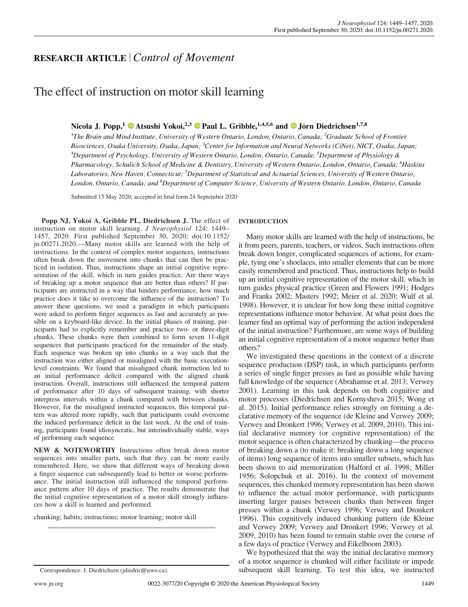# RESEARCH ARTICLE |Control of Movement

# The effect of instruction on motor skill learning

# Nicola J. Popp,<sup>1</sup>  $\bullet$  Atsushi Yokoi,<sup>2,3</sup>  $\bullet$  [Paul L. Gribble,](https://orcid.org/0000-0002-1368-032X)<sup>1,4,5,6</sup> and  $\bullet$  Jörn Diedrichsen<sup>1,7,8</sup>

<sup>1</sup>The Brain and Mind Institute, University of Western Ontario, London, Ontario, Canada; <sup>2</sup>Graduate School of Frontier Biosciences, Osaka University, Osaka, Japan; <sup>3</sup>Center for Information and Neural Networks (CiNet), NICT, Osaka, Japan; <sup>4</sup>Department of Psychology, University of Western Ontario, London, Ontario, Canada; <sup>5</sup>Department of Physiology & Pharmacology, Schulich School of Medicine & Dentistry, University of Western Ontario, London, Ontario, Canada; <sup>6</sup>Haskins Laboratories, New Haven, Connecticut; <sup>7</sup>Department of Statistical and Actuarial Sciences, University of Western Ontario, London, Ontario, Canada; and <sup>8</sup>Department of Computer Science, University of Western Ontario, London, Ontario, Canada

Submitted 15 May 2020; accepted in final form 24 September 2020

Popp NJ, Yokoi A, Gribble PL, Diedrichsen J. The effect of instruction on motor skill learning. J Neurophysiol 124: 1449– 1457, 2020. First published September 30, 2020; doi:[10.1152/](https://doi.org/10.1152/jn.00271.2020) [jn.00271.2020.](https://doi.org/10.1152/jn.00271.2020)—Many motor skills are learned with the help of instructions. In the context of complex motor sequences, instructions often break down the movement into chunks that can then be practiced in isolation. Thus, instructions shape an initial cognitive representation of the skill, which in turn guides practice. Are there ways of breaking up a motor sequence that are better than others? If participants are instructed in a way that hinders performance, how much practice does it take to overcome the influence of the instruction? To answer these questions, we used a paradigm in which participants were asked to perform finger sequences as fast and accurately as possible on a keyboard-like device. In the initial phases of training, participants had to explicitly remember and practice two- or three-digit chunks. These chunks were then combined to form seven 11-digit sequences that participants practiced for the remainder of the study. Each sequence was broken up into chunks in a way such that the instruction was either aligned or misaligned with the basic executionlevel constraints. We found that misaligned chunk instruction led to an initial performance deficit compared with the aligned chunk instruction. Overall, instructions still influenced the temporal pattern of performance after 10 days of subsequent training, with shorter interpress intervals within a chunk compared with between chunks. However, for the misaligned instructed sequences, this temporal pattern was altered more rapidly, such that participants could overcome the induced performance deficit in the last week. At the end of training, participants found idiosyncratic, but interindividually stable, ways of performing each sequence.

NEW & NOTEWORTHY Instructions often break down motor sequences into smaller parts, such that they can be more easily remembered. Here, we show that different ways of breaking down a finger sequence can subsequently lead to better or worse performance. The initial instruction still influenced the temporal performance pattern after 10 days of practice. The results demonstrate that the initial cognitive representation of a motor skill strongly influences how a skill is learned and performed.

chunking; habits; instructions; motor learning; motor skill

## INTRODUCTION

Many motor skills are learned with the help of instructions, be it from peers, parents, teachers, or videos. Such instructions often break down longer, complicated sequences of actions, for example, tying one's shoelaces, into smaller elements that can be more easily remembered and practiced. Thus, instructions help to build up an initial cognitive representation of the motor skill, which in turn guides physical practice (Green and Flowers 1991; Hodges and Franks 2002; Masters 1992; Meier et al. 2020; Wulf et al. 1998). However, it is unclear for how long these initial cognitive representations influence motor behavior. At what point does the learner find an optimal way of performing the action independent of the initial instruction? Furthermore, are some ways of building an initial cognitive representation of a motor sequence better than others?

We investigated these questions in the context of a discrete sequence production (DSP) task, in which participants perform a series of single finger presses as fast as possible while having full knowledge of the sequence (Abrahamse et al. 2013; Verwey 2001). Learning in this task depends on both cognitive and motor processes (Diedrichsen and Kornysheva 2015; Wong et al. 2015). Initial performance relies strongly on forming a declarative memory of the sequence (de Kleine and Verwey 2009; Verwey and Dronkert 1996; Verwey et al. 2009, 2010). This initial declarative memory (or cognitive representation) of the motor sequence is often characterized by chunking—the process of breaking down a (to make it: breaking down a long sequence of items) long sequence of items into smaller subsets, which has been shown to aid memorization (Halford et al. 1998; Miller 1956; Solopchuk et al. 2016). In the context of movement sequences, this chunked memory representation has been shown to influence the actual motor performance, with participants inserting larger pauses between chunks than between finger presses within a chunk (Verwey 1996; Verwey and Dronkert 1996). This cognitively induced chunking pattern (de Kleine and Verwey 2009; Verwey and Dronkert 1996; Verwey et al. 2009, 2010) has been found to remain stable over the course of a few days of practice (Verwey and Eikelboom 2003).

We hypothesized that the way the initial declarative memory of a motor sequence is chunked will either facilitate or impede Correspondence: J. Diedrichsen ([jdiedric@uwo.ca](mailto:jdiedric@uwo.ca)). subsequent skill learning. To test this idea, we instructed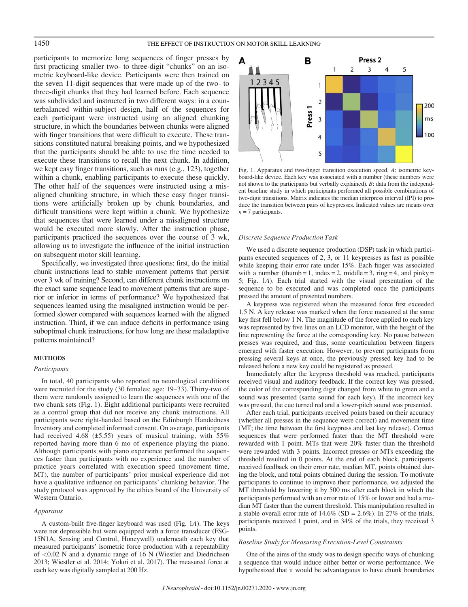## 1450 THE EFFECT OF INSTRUCTION ON MOTOR SKILL LEARNING

participants to memorize long sequences of finger presses by first practicing smaller two- to three-digit "chunks" on an isometric keyboard-like device. Participants were then trained on the seven 11-digit sequences that were made up of the two- to three-digit chunks that they had learned before. Each sequence was subdivided and instructed in two different ways: in a counterbalanced within-subject design, half of the sequences for each participant were instructed using an aligned chunking structure, in which the boundaries between chunks were aligned with finger transitions that were difficult to execute. These transitions constituted natural breaking points, and we hypothesized that the participants should be able to use the time needed to execute these transitions to recall the next chunk. In addition, we kept easy finger transitions, such as runs (e.g., 123), together within a chunk, enabling participants to execute these quickly. The other half of the sequences were instructed using a misaligned chunking structure, in which these easy finger transitions were artificially broken up by chunk boundaries, and difficult transitions were kept within a chunk. We hypothesize that sequences that were learned under a misaligned structure would be executed more slowly. After the instruction phase, participants practiced the sequences over the course of 3 wk, allowing us to investigate the influence of the initial instruction on subsequent motor skill learning.

Specifically, we investigated three questions: first, do the initial chunk instructions lead to stable movement patterns that persist over 3 wk of training? Second, can different chunk instructions on the exact same sequence lead to movement patterns that are superior or inferior in terms of performance? We hypothesized that sequences learned using the misaligned instruction would be performed slower compared with sequences learned with the aligned instruction. Third, if we can induce deficits in performance using suboptimal chunk instructions, for how long are these maladaptive patterns maintained?

#### METHODS

### Participants

In total, 40 participants who reported no neurological conditions were recruited for the study (30 females; age: 19–33). Thirty-two of them were randomly assigned to learn the sequences with one of the two chunk sets (Fig. 1). Eight additional participants were recruited as a control group that did not receive any chunk instructions. All participants were right-handed based on the Edinburgh Handedness Inventory and completed informed consent. On average, participants had received 4.68 (±5.55) years of musical training, with 55% reported having more than 6 mo of experience playing the piano. Although participants with piano experience performed the sequences faster than participants with no experience and the number of practice years correlated with execution speed (movement time, MT), the number of participants' prior musical experience did not have a qualitative influence on participants' chunking behavior. The study protocol was approved by the ethics board of the University of Western Ontario.

#### Apparatus

A custom-built five-finger keyboard was used (Fig. 1A). The keys were not depressible but were equipped with a force transducer (FSG-15N1A, Sensing and Control, Honeywell) underneath each key that measured participants' isometric force production with a repeatability of <0.02 N and a dynamic range of 16 N (Wiestler and Diedrichsen 2013; Wiestler et al. 2014; Yokoi et al. 2017). The measured force at each key was digitally sampled at 200 Hz.



Fig. 1. Apparatus and two-finger transition execution speed. A: isometric keyboard-like device. Each key was associated with a number (these numbers were not shown to the participants but verbally explained). B: data from the independent baseline study in which participants performed all possible combinations of two-digit transitions. Matrix indicates the median interpress interval (IPI) to produce the transition between pairs of keypresses. Indicated values are means over  $n = 7$  participants.

#### Discrete Sequence Production Task

We used a discrete sequence production (DSP) task in which participants executed sequences of 2, 3, or 11 keypresses as fast as possible while keeping their error rate under 15%. Each finger was associated with a number (thumb = 1, index = 2, middle = 3, ring = 4, and pinky = 5; Fig. 1A). Each trial started with the visual presentation of the sequence to be executed and was completed once the participants pressed the amount of presented numbers.

A keypress was registered when the measured force first exceeded 1.5 N. A key release was marked when the force measured at the same key first fell below 1 N. The magnitude of the force applied to each key was represented by five lines on an LCD monitor, with the height of the line representing the force at the corresponding key. No pause between presses was required, and thus, some coarticulation between fingers emerged with faster execution. However, to prevent participants from pressing several keys at once, the previously pressed key had to be released before a new key could be registered as pressed.

Immediately after the keypress threshold was reached, participants received visual and auditory feedback. If the correct key was pressed, the color of the corresponding digit changed from white to green and a sound was presented (same sound for each key). If the incorrect key was pressed, the cue turned red and a lower-pitch sound was presented.

After each trial, participants received points based on their accuracy (whether all presses in the sequence were correct) and movement time (MT; the time between the first keypress and last key release). Correct sequences that were performed faster than the MT threshold were rewarded with 1 point. MTs that were 20% faster than the threshold were rewarded with 3 points. Incorrect presses or MTs exceeding the threshold resulted in 0 points. At the end of each block, participants received feedback on their error rate, median MT, points obtained during the block, and total points obtained during the session. To motivate participants to continue to improve their performance, we adjusted the MT threshold by lowering it by 500 ms after each block in which the participants performed with an error rate of 15% or lower and had a median MT faster than the current threshold. This manipulation resulted in a stable overall error rate of  $14.6\%$  (SD = 2.6%). In 27% of the trials, participants received 1 point, and in 34% of the trials, they received 3 points.

#### Baseline Study for Measuring Execution-Level Constraints

One of the aims of the study was to design specific ways of chunking a sequence that would induce either better or worse performance. We hypothesized that it would be advantageous to have chunk boundaries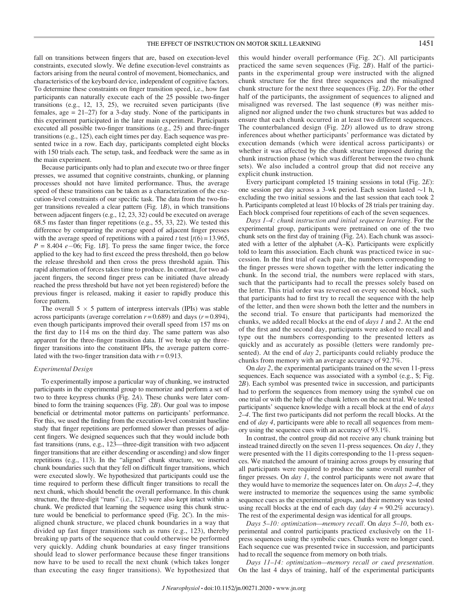fall on transitions between fingers that are, based on execution-level constraints, executed slowly. We define execution-level constraints as factors arising from the neural control of movement, biomechanics, and characteristics of the keyboard device, independent of cognitive factors. To determine these constraints on finger transition speed, i.e., how fast participants can naturally execute each of the 25 possible two-finger transitions (e.g., 12, 13, 25), we recruited seven participants (five females,  $\text{age} = 21-27$ ) for a 3-day study. None of the participants in this experiment participated in the later main experiment. Participants executed all possible two-finger transitions (e.g., 25) and three-finger transitions (e.g., 125), each eight times per day. Each sequence was presented twice in a row. Each day, participants completed eight blocks with 150 trials each. The setup, task, and feedback were the same as in the main experiment.

Because participants only had to plan and execute two or three finger presses, we assumed that cognitive constraints, chunking, or planning processes should not have limited performance. Thus, the average speed of these transitions can be taken as a characterization of the execution-level constraints of our specific task. The data from the two-finger transitions revealed a clear pattern (Fig. 1B), in which transitions between adjacent fingers (e.g., 12, 23, 32) could be executed on average 68.5 ms faster than finger repetitions (e.g., 55, 33, 22). We tested this difference by comparing the average speed of adjacent finger presses with the average speed of repetitions with a paired t test  $[t(6) = 13.965]$ ,  $P = 8.404$  e-06; Fig. 1B]. To press the same finger twice, the force applied to the key had to first exceed the press threshold, then go below the release threshold and then cross the press threshold again. This rapid alternation of forces takes time to produce. In contrast, for two adjacent fingers, the second finger press can be initiated (have already reached the press threshold but have not yet been registered) before the previous finger is released, making it easier to rapidly produce this force pattern.

The overall  $5 \times 5$  pattern of interpress intervals (IPIs) was stable across participants (average correlation  $r = 0.689$ ) and days ( $r = 0.894$ ), even though participants improved their overall speed from 157 ms on the first day to 114 ms on the third day. The same pattern was also apparent for the three-finger transition data. If we broke up the threefinger transitions into the constituent IPIs, the average pattern correlated with the two-finger transition data with  $r = 0.913$ .

### Experimental Design

To experimentally impose a particular way of chunking, we instructed participants in the experimental group to memorize and perform a set of two to three keypress chunks (Fig. 2A). These chunks were later combined to form the training sequences (Fig. 2B). Our goal was to impose beneficial or detrimental motor patterns on participants' performance. For this, we used the finding from the execution-level constraint baseline study that finger repetitions are performed slower than presses of adjacent fingers. We designed sequences such that they would include both fast transitions (runs, e.g., 123—three-digit transition with two adjacent finger transitions that are either descending or ascending) and slow finger repetitions (e.g., 113). In the "aligned" chunk structure, we inserted chunk boundaries such that they fell on difficult finger transitions, which were executed slowly. We hypothesized that participants could use the time required to perform these difficult finger transitions to recall the next chunk, which should benefit the overall performance. In this chunk structure, the three-digit "runs" (i.e., 123) were also kept intact within a chunk. We predicted that learning the sequence using this chunk structure would be beneficial to performance speed (Fig. 2C). In the misaligned chunk structure, we placed chunk boundaries in a way that divided up fast finger transitions such as runs (e.g., 123), thereby breaking up parts of the sequence that could otherwise be performed very quickly. Adding chunk boundaries at easy finger transitions should lead to slower performance because these finger transitions now have to be used to recall the next chunk (which takes longer than executing the easy finger transitions). We hypothesized that this would hinder overall performance (Fig. 2C). All participants practiced the same seven sequences (Fig. 2B). Half of the participants in the experimental group were instructed with the aligned chunk structure for the first three sequences and the misaligned chunk structure for the next three sequences (Fig. 2D). For the other half of the participants, the assignment of sequences to aligned and misaligned was reversed. The last sequence (#) was neither misaligned nor aligned under the two chunk structures but was added to ensure that each chunk occurred in at least two different sequences. The counterbalanced design (Fig. 2D) allowed us to draw strong inferences about whether participants' performance was dictated by execution demands (which were identical across participants) or whether it was affected by the chunk structure imposed during the chunk instruction phase (which was different between the two chunk sets). We also included a control group that did not receive any explicit chunk instruction.

Every participant completed 15 training sessions in total (Fig. 2E): one session per day across a 3-wk period. Each session lasted  $\sim$ 1 h, excluding the two initial sessions and the last session that each took 2 h. Participants completed at least 10 blocks of 28 trials per training day. Each block comprised four repetitions of each of the seven sequences.

Days 1–4: chunk instruction and initial sequence learning. For the experimental group, participants were pretrained on one of the two chunk sets on the first day of training (Fig. 2A). Each chunk was associated with a letter of the alphabet (A–K). Participants were explicitly told to learn this association. Each chunk was practiced twice in succession. In the first trial of each pair, the numbers corresponding to the finger presses were shown together with the letter indicating the chunk. In the second trial, the numbers were replaced with stars, such that the participants had to recall the presses solely based on the letter. This trial order was reversed on every second block, such that participants had to first try to recall the sequence with the help of the letter, and then were shown both the letter and the numbers in the second trial. To ensure that participants had memorized the chunks, we added recall blocks at the end of *days 1* and 2. At the end of the first and the second day, participants were asked to recall and type out the numbers corresponding to the presented letters as quickly and as accurately as possible (letters were randomly presented). At the end of *day* 2, participants could reliably produce the chunks from memory with an average accuracy of 92.7%.

On day 2, the experimental participants trained on the seven 11-press sequences. Each sequence was associated with a symbol (e.g., \$; Fig. 2B). Each symbol was presented twice in succession, and participants had to perform the sequences from memory using the symbol cue on one trial or with the help of the chunk letters on the next trial. We tested participants' sequence knowledge with a recall block at the end of *days* 2–4. The first two participants did not perform the recall blocks. At the end of *day* 4, participants were able to recall all sequences from memory using the sequence cues with an accuracy of 93.1%.

In contrast, the control group did not receive any chunk training but instead trained directly on the seven 11-press sequences. On  $day 1$ , they were presented with the 11 digits corresponding to the 11-press sequences. We matched the amount of training across groups by ensuring that all participants were required to produce the same overall number of finger presses. On  $day \, 1$ , the control participants were not aware that they would have to memorize the sequences later on. On  $days\,2-4$ , they were instructed to memorize the sequences using the same symbolic sequence cues as the experimental groups, and their memory was tested using recall blocks at the end of each day  $\langle day \, 4 = 90.2\%$  accuracy). The rest of the experimental design was identical for all groups.

Days 5–10: optimization—memory recall. On days 5–10, both experimental and control participants practiced exclusively on the 11 press sequences using the symbolic cues. Chunks were no longer cued. Each sequence cue was presented twice in succession, and participants had to recall the sequence from memory on both trials.

Days 11–14: optimization—memory recall or cued presentation. On the last 4 days of training, half of the experimental participants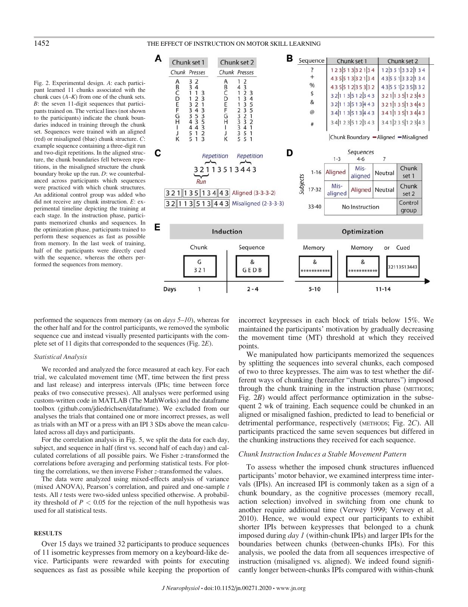## 1452 THE EFFECT OF INSTRUCTION ON MOTOR SKILL LEARNING

Fig. 2. Experimental design. A: each participant learned 11 chunks associated with the chunk cues  $(A-K)$  from one of the chunk sets. B: the seven 11-digit sequences that participants trained on. The vertical lines (not shown to the participants) indicate the chunk boundaries induced in training through the chunk set. Sequences were trained with an aligned (red) or misaligned (blue) chunk structure. C: example sequence containing a three-digit run and two-digit repetitions. In the aligned structure, the chunk boundaries fell between repetitions, in the misaligned structure the chunk boundary broke up the run. D: we counterbalanced across participants which sequences were practiced with which chunk structures. An additional control group was added who did not receive any chunk instruction. E: experimental timeline depicting the training at each stage. In the instruction phase, participants memorized chunks and sequences. In the optimization phase, participants trained to perform these sequences as fast as possible from memory. In the last week of training, half of the participants were directly cued with the sequence, whereas the others performed the sequences from memory.



performed the sequences from memory (as on *days*  $5-10$ ), whereas for the other half and for the control participants, we removed the symbolic sequence cue and instead visually presented participants with the complete set of 11 digits that corresponded to the sequences (Fig. 2E).

### Statistical Analysis

We recorded and analyzed the force measured at each key. For each trial, we calculated movement time (MT, time between the first press and last release) and interpress intervals (IPIs; time between force peaks of two consecutive presses). All analyses were performed using custom-written code in MATLAB (The MathWorks) and the dataframe toolbox ([github.com/jdiedrichsen/dataframe\)](http://github.com/jdiedrichsen/dataframe). We excluded from our analyses the trials that contained one or more incorrect presses, as well as trials with an MT or a press with an IPI 3 SDs above the mean calculated across all days and participants.

For the correlation analysis in Fig. 5, we split the data for each day, subject, and sequence in half (first vs. second half of each day) and calculated correlations of all possible pairs. We Fisher z-transformed the correlations before averaging and performing statistical tests. For plotting the correlations, we then inverse Fisher z-transformed the values.

The data were analyzed using mixed-effects analysis of variance (mixed ANOVA), Pearson's correlation, and paired and one-sample t tests. All *t* tests were two-sided unless specified otherwise. A probability threshold of  $P < 0.05$  for the rejection of the null hypothesis was used for all statistical tests.

## **RESULTS**

Over 15 days we trained 32 participants to produce sequences of 11 isometric keypresses from memory on a keyboard-like device. Participants were rewarded with points for executing sequences as fast as possible while keeping the proportion of incorrect keypresses in each block of trials below 15%. We maintained the participants' motivation by gradually decreasing the movement time (MT) threshold at which they received points.

We manipulated how participants memorized the sequences by splitting the sequences into several chunks, each composed of two to three keypresses. The aim was to test whether the different ways of chunking (hereafter "chunk structures") imposed through the chunk training in the instruction phase (METHODS; Fig. 2B) would affect performance optimization in the subsequent 2 wk of training. Each sequence could be chunked in an aligned or misaligned fashion, predicted to lead to beneficial or detrimental performance, respectively (METHODS; Fig. 2C). All participants practiced the same seven sequences but differed in the chunking instructions they received for each sequence.

## Chunk Instruction Induces a Stable Movement Pattern

To assess whether the imposed chunk structures influenced participants' motor behavior, we examined interpress time intervals (IPIs). An increased IPI is commonly taken as a sign of a chunk boundary, as the cognitive processes (memory recall, action selection) involved in switching from one chunk to another require additional time (Verwey 1999; Verwey et al. 2010). Hence, we would expect our participants to exhibit shorter IPIs between keypresses that belonged to a chunk imposed during day 1 (within-chunk IPIs) and larger IPIs for the boundaries between chunks (between-chunks IPIs). For this analysis, we pooled the data from all sequences irrespective of instruction (misaligned vs. aligned). We indeed found significantly longer between-chunks IPIs compared with within-chunk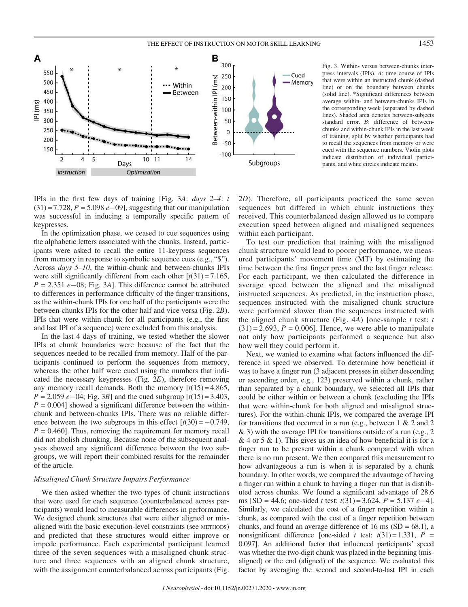

Fig. 3. Within- versus between-chunks interpress intervals (IPIs). A: time course of IPIs that were within an instructed chunk (dashed line) or on the boundary between chunks (solid line). \*Significant differences between average within- and between-chunks IPIs in the corresponding week (separated by dashed lines). Shaded area denotes between-subjects standard error. B: difference of betweenchunks and within-chunk IPIs in the last week of training, split by whether participants had to recall the sequences from memory or were cued with the sequence numbers. Violin plots indicate distribution of individual participants, and white circles indicate means.

IPIs in the first few days of training [Fig. 3A: days 2–4: t  $(31) = 7.728$ ,  $P = 5.098$   $e-09$ ], suggesting that our manipulation was successful in inducing a temporally specific pattern of keypresses.

In the optimization phase, we ceased to cue sequences using the alphabetic letters associated with the chunks. Instead, participants were asked to recall the entire 11-keypress sequences from memory in response to symbolic sequence cues (e.g., "\$"). Across days 5–10, the within-chunk and between-chunks IPIs were still significantly different from each other  $[t(31) = 7.165]$ ,  $P = 2.351 e - 08$ ; Fig. 3A]. This difference cannot be attributed to differences in performance difficulty of the finger transitions, as the within-chunk IPIs for one half of the participants were the between-chunks IPIs for the other half and vice versa (Fig. 2B). IPIs that were within-chunk for all participants (e.g., the first and last IPI of a sequence) were excluded from this analysis.

In the last 4 days of training, we tested whether the slower IPIs at chunk boundaries were because of the fact that the sequences needed to be recalled from memory. Half of the participants continued to perform the sequences from memory, whereas the other half were cued using the numbers that indicated the necessary keypresses (Fig. 2E), therefore removing any memory recall demands. Both the memory  $\lceil t(15) = 4.865$ ,  $P = 2.059 e - 04$ ; Fig. 3B] and the cued subgroup  $[t(15) = 3.403]$ ,  $P = 0.004$ ] showed a significant difference between the withinchunk and between-chunks IPIs. There was no reliable difference between the two subgroups in this effect  $[t(30) = -0.749]$ ,  $P = 0.460$ . Thus, removing the requirement for memory recall did not abolish chunking. Because none of the subsequent analyses showed any significant difference between the two subgroups, we will report their combined results for the remainder of the article.

## Misaligned Chunk Structure Impairs Performance

We then asked whether the two types of chunk instructions that were used for each sequence (counterbalanced across participants) would lead to measurable differences in performance. We designed chunk structures that were either aligned or misaligned with the basic execution-level constraints (see METHODS) and predicted that these structures would either improve or impede performance. Each experimental participant learned three of the seven sequences with a misaligned chunk structure and three sequences with an aligned chunk structure, with the assignment counterbalanced across participants (Fig.

2D). Therefore, all participants practiced the same seven sequences but differed in which chunk instructions they received. This counterbalanced design allowed us to compare execution speed between aligned and misaligned sequences within each participant.

To test our prediction that training with the misaligned chunk structure would lead to poorer performance, we measured participants' movement time (MT) by estimating the time between the first finger press and the last finger release. For each participant, we then calculated the difference in average speed between the aligned and the misaligned instructed sequences. As predicted, in the instruction phase, sequences instructed with the misaligned chunk structure were performed slower than the sequences instructed with the aligned chunk structure (Fig. 4A) [one-sample  $t$  test:  $t$  $(31) = 2.693$ ,  $P = 0.006$ . Hence, we were able to manipulate not only how participants performed a sequence but also how well they could perform it.

Next, we wanted to examine what factors influenced the difference in speed we observed. To determine how beneficial it was to have a finger run (3 adjacent presses in either descending or ascending order, e.g., 123) preserved within a chunk, rather than separated by a chunk boundary, we selected all IPIs that could be either within or between a chunk (excluding the IPIs that were within-chunk for both aligned and misaligned structures). For the within-chunk IPIs, we compared the average IPI for transitions that occurred in a run (e.g., between 1 & 2 and 2 & 3) with the average IPI for transitions outside of a run (e.g., 2  $\&$  4 or 5  $\&$  1). This gives us an idea of how beneficial it is for a finger run to be present within a chunk compared with when there is no run present. We then compared this measurement to how advantageous a run is when it is separated by a chunk boundary. In other words, we compared the advantage of having a finger run within a chunk to having a finger run that is distributed across chunks. We found a significant advantage of 28.6 ms [SD = 44.6; one-sided t test:  $t(31) = 3.624$ ,  $P = 5.137 e-4$ ]. Similarly, we calculated the cost of a finger repetition within a chunk, as compared with the cost of a finger repetition between chunks, and found an average difference of 16 ms  $(SD = 68.1)$ , a nonsignificant difference [one-sided t test:  $t(31) = 1.331$ ,  $P =$ 0.097]. An additional factor that influenced participants' speed was whether the two-digit chunk was placed in the beginning (misaligned) or the end (aligned) of the sequence. We evaluated this factor by averaging the second and second-to-last IPI in each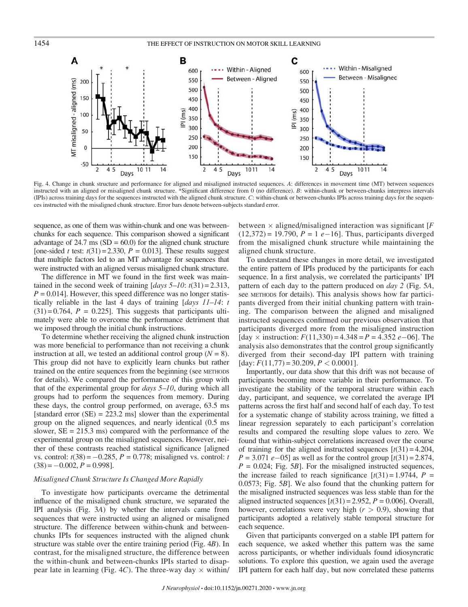

Fig. 4. Change in chunk structure and performance for aligned and misaligned instructed sequences. A: differences in movement time (MT) between sequences instructed with an aligned or misaligned chunk structure. \*Significant difference from 0 (no difference). B: within-chunk or between-chunks interpress intervals (IPIs) across training days for the sequences instructed with the aligned chunk structure. C: within-chunk or between-chunks IPIs across training days for the sequences instructed with the misaligned chunk structure. Error bars denote between-subjects standard error.

sequence, as one of them was within-chunk and one was betweenchunks for each sequence. This comparison showed a significant advantage of  $24.7 \text{ ms}$  (SD = 60.0) for the aligned chunk structure [one-sided t test:  $t(31) = 2.330$ ,  $P = 0.013$ ]. These results suggest that multiple factors led to an MT advantage for sequences that were instructed with an aligned versus misaligned chunk structure.

The difference in MT we found in the first week was maintained in the second week of training  $\left[ days\ 5-10: t(31)=2.313, \right]$  $P = 0.014$ . However, this speed difference was no longer statistically reliable in the last 4 days of training  $\left[ days\ 11-14: t \right]$  $(31) = 0.764$ ,  $P = 0.225$ . This suggests that participants ultimately were able to overcome the performance detriment that we imposed through the initial chunk instructions.

To determine whether receiving the aligned chunk instruction was more beneficial to performance than not receiving a chunk instruction at all, we tested an additional control group  $(N = 8)$ . This group did not have to explicitly learn chunks but rather trained on the entire sequences from the beginning (see METHODS for details). We compared the performance of this group with that of the experimental group for  $days$   $5-10$ , during which all groups had to perform the sequences from memory. During these days, the control group performed, on average, 63.5 ms [standard error  $(SE) = 223.2$  ms] slower than the experimental group on the aligned sequences, and nearly identical (0.5 ms slower,  $SE = 215.3$  ms) compared with the performance of the experimental group on the misaligned sequences. However, neither of these contrasts reached statistical significance [aligned vs. control:  $t(38) = -0.285$ ,  $P = 0.778$ ; misaligned vs. control: t  $(38) = -0.002$ ,  $P = 0.998$ ].

## Misaligned Chunk Structure Is Changed More Rapidly

To investigate how participants overcame the detrimental influence of the misaligned chunk structure, we separated the IPI analysis (Fig. 3A) by whether the intervals came from sequences that were instructed using an aligned or misaligned structure. The difference between within-chunk and betweenchunks IPIs for sequences instructed with the aligned chunk structure was stable over the entire training period (Fig. 4B). In contrast, for the misaligned structure, the difference between the within-chunk and between-chunks IPIs started to disappear late in learning (Fig. 4C). The three-way day  $\times$  within/

between  $\times$  aligned/misaligned interaction was significant [F  $(12,372) = 19,790, P = 1 e-16$ . Thus, participants diverged from the misaligned chunk structure while maintaining the aligned chunk structure.

To understand these changes in more detail, we investigated the entire pattern of IPIs produced by the participants for each sequence. In a first analysis, we correlated the participants' IPI pattern of each day to the pattern produced on *day* 2 (Fig. 5A, see METHODS for details). This analysis shows how far participants diverged from their initial chunking pattern with training. The comparison between the aligned and misaligned instructed sequences confirmed our previous observation that participants diverged more from the misaligned instruction [day  $\times$  instruction:  $F(11,330) = 4.348 = P = 4.352 e - 06$ ]. The analysis also demonstrates that the control group significantly diverged from their second-day IPI pattern with training [day:  $F(11,77) = 30.209$ ,  $P < 0.0001$ ].

Importantly, our data show that this drift was not because of participants becoming more variable in their performance. To investigate the stability of the temporal structure within each day, participant, and sequence, we correlated the average IPI patterns across the first half and second half of each day. To test for a systematic change of stability across training, we fitted a linear regression separately to each participant's correlation results and compared the resulting slope values to zero. We found that within-subject correlations increased over the course of training for the aligned instructed sequences  $[t(31) = 4.204,$  $P = 3.071 \, \text{e} - 05$ ] as well as for the control group  $[t(31) = 2.874,$  $P = 0.024$ ; Fig. 5B]. For the misaligned instructed sequences, the increase failed to reach significance  $[t(31) = 1.9744, P =$ 0.0573; Fig. 5B]. We also found that the chunking pattern for the misaligned instructed sequences was less stable than for the aligned instructed sequences  $[t(31) = 2.952, P = 0.006]$ . Overall, however, correlations were very high  $(r > 0.9)$ , showing that participants adopted a relatively stable temporal structure for each sequence.

Given that participants converged on a stable IPI pattern for each sequence, we asked whether this pattern was the same across participants, or whether individuals found idiosyncratic solutions. To explore this question, we again used the average IPI pattern for each half day, but now correlated these patterns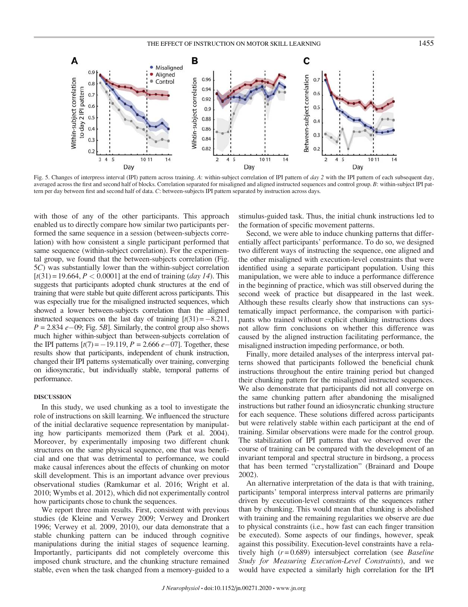

Fig. 5. Changes of interpress interval (IPI) pattern across training. A: within-subject correlation of IPI pattern of day 2 with the IPI pattern of each subsequent day, averaged across the first and second half of blocks. Correlation separated for misaligned and aligned instructed sequences and control group. B: within-subject IPI pattern per day between first and second half of data. C: between-subjects IPI pattern separated by instruction across days.

with those of any of the other participants. This approach enabled us to directly compare how similar two participants performed the same sequence in a session (between-subjects correlation) with how consistent a single participant performed that same sequence (within-subject correlation). For the experimental group, we found that the between-subjects correlation (Fig. 5C) was substantially lower than the within-subject correlation  $[t(31) = 19.664, P < 0.0001]$  at the end of training (*day 14*). This suggests that participants adopted chunk structures at the end of training that were stable but quite different across participants. This was especially true for the misaligned instructed sequences, which showed a lower between-subjects correlation than the aligned instructed sequences on the last day of training  $[t(31) = -8.211,$  $P = 2.834 e - 09$ ; Fig. 5B]. Similarly, the control group also shows much higher within-subject than between-subjects correlation of the IPI patterns  $[t(7) = -19.119, P = 2.666 e - 07]$ . Together, these results show that participants, independent of chunk instruction, changed their IPI patterns systematically over training, converging on idiosyncratic, but individually stable, temporal patterns of performance.

## DISCUSSION

In this study, we used chunking as a tool to investigate the role of instructions on skill learning. We influenced the structure of the initial declarative sequence representation by manipulating how participants memorized them (Park et al. 2004). Moreover, by experimentally imposing two different chunk structures on the same physical sequence, one that was beneficial and one that was detrimental to performance, we could make causal inferences about the effects of chunking on motor skill development. This is an important advance over previous observational studies (Ramkumar et al. 2016; Wright et al. 2010; Wymbs et al. 2012), which did not experimentally control how participants chose to chunk the sequences.

We report three main results. First, consistent with previous studies (de Kleine and Verwey 2009; Verwey and Dronkert 1996; Verwey et al. 2009, 2010), our data demonstrate that a stable chunking pattern can be induced through cognitive manipulations during the initial stages of sequence learning. Importantly, participants did not completely overcome this imposed chunk structure, and the chunking structure remained stable, even when the task changed from a memory-guided to a stimulus-guided task. Thus, the initial chunk instructions led to the formation of specific movement patterns.

Second, we were able to induce chunking patterns that differentially affect participants' performance. To do so, we designed two different ways of instructing the sequence, one aligned and the other misaligned with execution-level constraints that were identified using a separate participant population. Using this manipulation, we were able to induce a performance difference in the beginning of practice, which was still observed during the second week of practice but disappeared in the last week. Although these results clearly show that instructions can systematically impact performance, the comparison with participants who trained without explicit chunking instructions does not allow firm conclusions on whether this difference was caused by the aligned instruction facilitating performance, the misaligned instruction impeding performance, or both.

Finally, more detailed analyses of the interpress interval patterns showed that participants followed the beneficial chunk instructions throughout the entire training period but changed their chunking pattern for the misaligned instructed sequences. We also demonstrate that participants did not all converge on the same chunking pattern after abandoning the misaligned instructions but rather found an idiosyncratic chunking structure for each sequence. These solutions differed across participants but were relatively stable within each participant at the end of training. Similar observations were made for the control group. The stabilization of IPI patterns that we observed over the course of training can be compared with the development of an invariant temporal and spectral structure in birdsong, a process that has been termed "crystallization" (Brainard and Doupe 2002).

An alternative interpretation of the data is that with training, participants' temporal interpress interval patterns are primarily driven by execution-level constraints of the sequences rather than by chunking. This would mean that chunking is abolished with training and the remaining regularities we observe are due to physical constraints (i.e., how fast can each finger transition be executed). Some aspects of our findings, however, speak against this possibility. Execution-level constraints have a relatively high  $(r=0.689)$  intersubject correlation (see *Baseline* Study for Measuring Execution-Level Constraints), and we would have expected a similarly high correlation for the IPI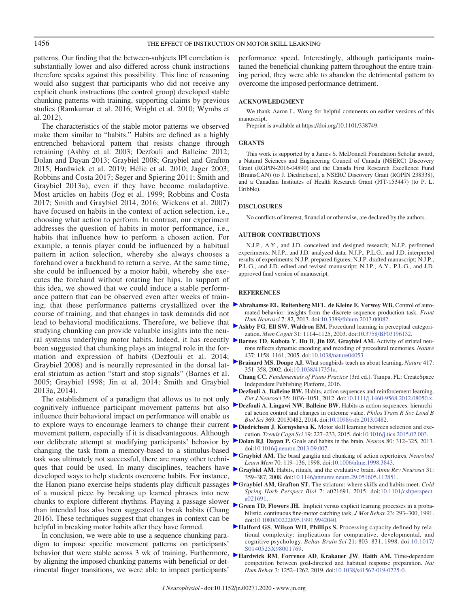patterns. Our finding that the between-subjects IPI correlation is substantially lower and also differed across chunk instructions therefore speaks against this possibility. This line of reasoning would also suggest that participants who did not receive any explicit chunk instructions (the control group) developed stable chunking patterns with training, supporting claims by previous studies (Ramkumar et al. 2016; Wright et al. 2010; Wymbs et al. 2012).

The characteristics of the stable motor patterns we observed make them similar to "habits." Habits are defined as a highly entrenched behavioral pattern that resists change through retraining (Ashby et al. 2003; Dezfouli and Balleine 2012; Dolan and Dayan 2013; Graybiel 2008; Graybiel and Grafton 2015; Hardwick et al. 2019; Helie et al. 2010; Jager 2003; Robbins and Costa 2017; Seger and Spiering 2011; Smith and Graybiel 2013a), even if they have become maladaptive. Most articles on habits (Jog et al. 1999; Robbins and Costa 2017; Smith and Graybiel 2014, 2016; Wickens et al. 2007) have focused on habits in the context of action selection, i.e., choosing what action to perform. In contrast, our experiment addresses the question of habits in motor performance, i.e., habits that influence how to perform a chosen action. For example, a tennis player could be influenced by a habitual pattern in action selection, whereby she always chooses a forehand over a backhand to return a serve. At the same time, she could be influenced by a motor habit, whereby she executes the forehand without rotating her hips. In support of this idea, we showed that we could induce a stable performance pattern that can be observed even after weeks of training, that these performance patterns crystallized over the [A](https://journals.physiology.org/action/showLinks?pmid=23515430&crossref=10.3389%2Ffnhum.2013.00082&isi=000316254700001&citationId=p_1)brahamse EL, Ruitenberg MFL, de Kleine E, Verwey WB. Control of autocourse of training, and that changes in task demands did not lead to behavioral modifications. Therefore, we believe that studying chunking can provide valuable insights into the neural systems underlying motor habits. Indeed, it has recently been suggested that chunking plays an integral role in the formation and expression of habits (Dezfouli et al. 2014; Graybiel 2008) and is neurally represented in the dorsal lateral striatum as action "start and stop signals" (Barnes et al. 2005; Graybiel 1998; Jin et al. 2014; Smith and Graybiel 2013a, 2014).

The establishment of a paradigm that allows us to not only cognitively influence participant movement patterns but also influence their behavioral impact on performance will enable us to explore ways to encourage learners to change their current **[D](https://journals.physiology.org/action/showLinks?pmid=25746123&crossref=10.1016%2Fj.tics.2015.02.003&isi=000352674600010&citationId=p_8)iedrichsen J, Kornysheva K.** Motor skill learning between selection and exemovement pattern, especially if it is disadvantageous. Although changing the task from a memory-based to a stimulus-based task was ultimately not successful, there are many other techniques that could be used. In many disciplines, teachers have developed ways to help students overcome habits. For instance, the Hanon piano exercise helps students play difficult passages of a musical piece by breaking up learned phrases into new chunks to explore different rhythms. Playing a passage slower than intended has also been suggested to break habits (Chang 2016). These techniques suggest that changes in context can be helpful in breaking motor habits after they have formed.

In conclusion, we were able to use a sequence chunking paradigm to impose specific movement patterns on participants' sight to impose openie incoefficing patterns on participants [S0140525X98001769](https://doi.org/10.1017/S0140525X98001769).<br>
Behavior that were stable across 3 wk of training. Furthermore, Exercise RM Forrence by aligning the imposed chunking patterns with beneficial or detrimental finger transitions, we were able to impact participants'

performance speed. Interestingly, although participants maintained the beneficial chunking pattern throughout the entire training period, they were able to abandon the detrimental pattern to overcome the imposed performance detriment.

## ACKNOWLEDGMENT

We thank Aaron L. Wong for helpful comments on earlier versions of this manuscript.

Preprint is available at<https://doi.org/10.1101/338749>.

### GRANTS

This work is supported by a James S. McDonnell Foundation Scholar award, a Natural Sciences and Engineering Council of Canada (NSERC) Discovery Grant (RGPIN-2016-04890) and the Canada First Research Excellence Fund (BrainsCAN) (to J. Diedrichsen), a NSERC Discovery Grant (RGPIN 238338), and a Canadian Institutes of Health Research Grant (PJT-153447) (to P. L. Gribble).

#### DISCLOSURES

No conflicts of interest, financial or otherwise, are declared by the authors.

### AUTHOR CONTRIBUTIONS

N.J.P., A.Y., and J.D. conceived and designed research; N.J.P. performed experiments; N.J.P., and J.D. analyzed data; N.J.P., P.L.G., and J.D. interpreted results of experiments; N.J.P. prepared figures; N.J.P. drafted manuscript; N.J.P., P.L.G., and J.D. edited and revised manuscript; N.J.P., A.Y., P.L.G., and J.D. approved final version of manuscript.

#### **REFERENCES**

- mated behavior: insights from the discrete sequence production task. Front Hum Neurosci 7: 82, 2013. doi:[10.3389/fnhum.2013.00082.](https://doi.org/10.3389/fnhum.2013.00082)
- [A](https://journals.physiology.org/action/showLinks?pmid=14704026&crossref=10.3758%2FBF03196132&isi=000187078400012&citationId=p_2)shby FG, Ell SW, Waldron EM. Procedural learning in perceptual categorization. Mem Cognit 31: 1114–1125, 2003. doi[:10.3758/BF03196132.](https://doi.org/10.3758/BF03196132)
- [B](https://journals.physiology.org/action/showLinks?pmid=16237445&crossref=10.1038%2Fnature04053&isi=000232660500045&citationId=p_3)arnes TD, Kubota Y, Hu D, Jin DZ, Graybiel AM. Activity of striatal neurons reflects dynamic encoding and recoding of procedural memories. Nature 437: 1158–1161, 2005. doi:[10.1038/nature04053](https://doi.org/10.1038/nature04053).
- [B](https://journals.physiology.org/action/showLinks?pmid=12015616&crossref=10.1038%2F417351a&isi=000175592100060&citationId=p_4)rainard MS, Doupe AJ. What songbirds teach us about learning. Nature 417: 351–358, 2002. doi[:10.1038/417351a.](https://doi.org/10.1038/417351a)
- Chang CC. Fundamentals of Piano Practice (3rd ed.). Tampa, FL: CreateSpace Independent Publishing Platform, 2016.
- [D](https://journals.physiology.org/action/showLinks?pmid=22487034&crossref=10.1111%2Fj.1460-9568.2012.08050.x&isi=000302360500006&citationId=p_6)ezfouli A, Balleine BW. Habits, action sequences and reinforcement learning. Eur J Neurosci 35: 1036–1051, 2012. doi:[10.1111/j.1460-9568.2012.08050.x](https://doi.org/10.1111/j.1460-9568.2012.08050.x).
- [D](https://journals.physiology.org/action/showLinks?pmid=25267824&crossref=10.1098%2Frstb.2013.0482&isi=000342882400012&citationId=p_7)ezfouli A, Lingawi NW, Balleine BW. Habits as action sequences: hierarchical action control and changes in outcome value. Philos Trans R Soc Lond B Biol Sci 369: 20130482, 2014. doi[:10.1098/rstb.2013.0482.](https://doi.org/10.1098/rstb.2013.0482)
- cution. Trends Cogn Sci 19: 227–233, 2015. doi[:10.1016/j.tics.2015.02.003](https://doi.org/10.1016/j.tics.2015.02.003).
- our deliberate attempt at modifying participants' behavior by **[D](https://journals.physiology.org/action/showLinks?pmid=24139036&crossref=10.1016%2Fj.neuron.2013.09.007&isi=000326196400013&citationId=p_9)olan RJ**, Dayan P. Goals and habits in the brain. Neuron 80: 312–325, 2013. doi:[10.1016/j.neuron.2013.09.007](https://doi.org/10.1016/j.neuron.2013.09.007).
	- [G](https://journals.physiology.org/action/showLinks?pmid=9753592&crossref=10.1006%2Fnlme.1998.3843&isi=000076440800011&citationId=p_10)raybiel AM. The basal ganglia and chunking of action repertoires. Neurobiol Learn Mem 70: 119–136, 1998. doi[:10.1006/nlme.1998.3843](https://doi.org/10.1006/nlme.1998.3843).
	- [G](https://journals.physiology.org/action/showLinks?pmid=18558860&crossref=10.1146%2Fannurev.neuro.29.051605.112851&isi=000257992200016&citationId=p_11)raybiel AM. Habits, rituals, and the evaluative brain. Annu Rev Neurosci 31: 359–387, 2008. doi[:10.1146/annurev.neuro.29.051605.112851](https://doi.org/10.1146/annurev.neuro.29.051605.112851).
	- [G](https://journals.physiology.org/action/showLinks?pmid=26238359&crossref=10.1101%2Fcshperspect.a021691&isi=000362027800011&citationId=p_12)raybiel AM, Grafton ST. The striatum: where skills and habits meet. Cold Spring Harb Perspect Biol 7: a021691, 2015. doi:[10.1101/cshperspect.](https://doi.org/10.1101/cshperspect.a021691) [a021691.](https://doi.org/10.1101/cshperspect.a021691)
	- [G](https://journals.physiology.org/action/showLinks?pmid=14766511&crossref=10.1080%2F00222895.1991.9942040&isi=A1991HH06600008&citationId=p_13)reen TD, Flowers JH. Implicit versus explicit learning processes in a probabilistic, continuous fine-motor catching task. J Mot Behav 23: 293-300, 1991. doi:[10.1080/00222895.1991.9942040](https://doi.org/10.1080/00222895.1991.9942040).
	- [H](https://journals.physiology.org/action/showLinks?pmid=10191879&crossref=10.1017%2FS0140525X98001769&isi=000078400600040&citationId=p_14)alford GS, Wilson WH, Phillips S. Processing capacity defined by relational complexity: implications for comparative, developmental, and cognitive psychology. Behav Brain Sci 21: 803-831, 1998. doi:[10.1017/](https://doi.org/10.1017/S0140525X98001769)<br>S0140525X98001769.
	- [H](https://journals.physiology.org/action/showLinks?pmid=31570762&crossref=10.1038%2Fs41562-019-0725-0&isi=000502379800011&citationId=p_15)ardwick RM, Forrence AD, Krakauer JW, Haith AM. Time-dependent competition between goal-directed and habitual response preparation. Nat Hum Behav 3: 1252–1262, 2019. doi[:10.1038/s41562-019-0725-0.](https://doi.org/10.1038/s41562-019-0725-0)